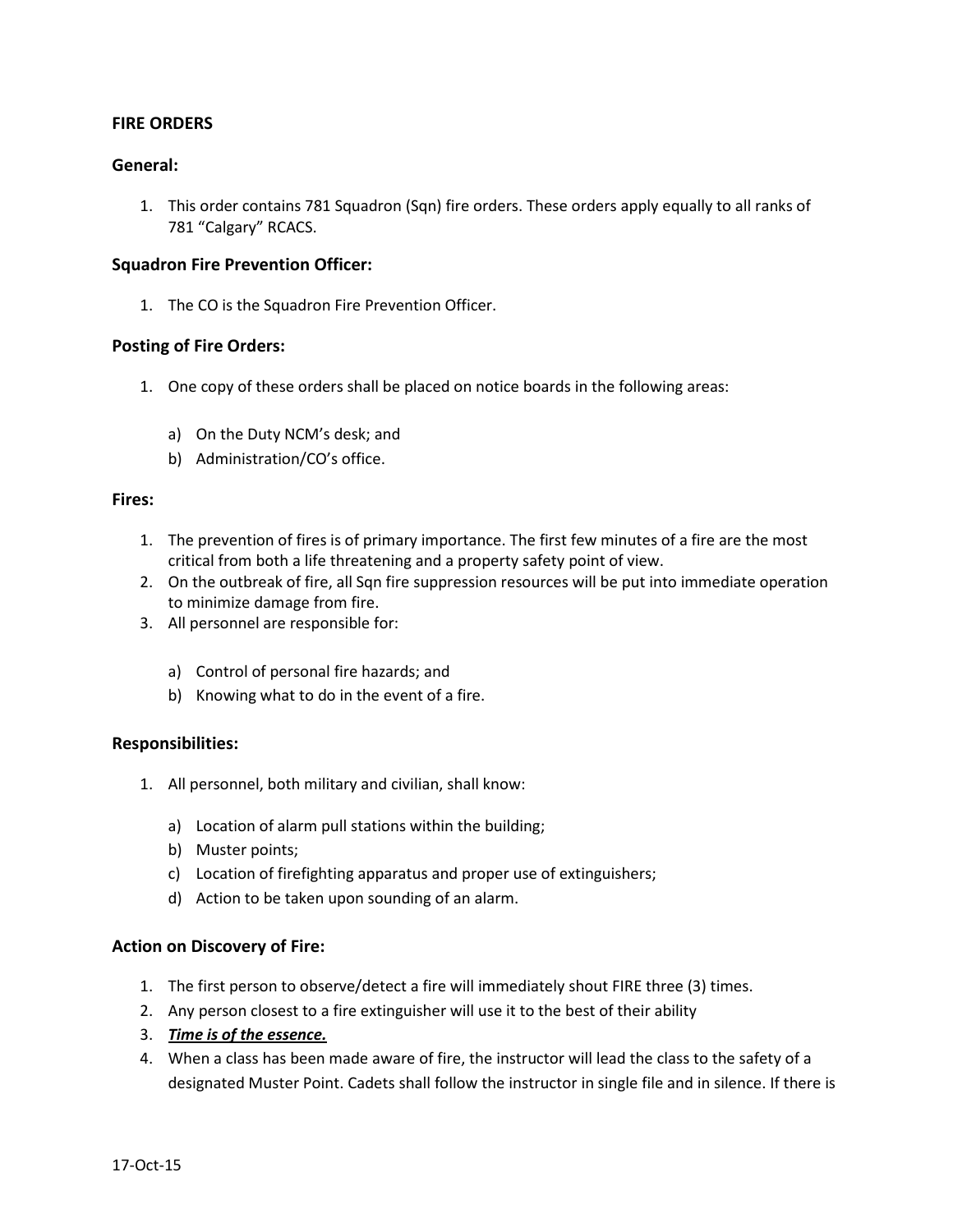## **FIRE ORDERS**

## **General:**

1. This order contains 781 Squadron (Sqn) fire orders. These orders apply equally to all ranks of 781 "Calgary" RCACS.

#### **Squadron Fire Prevention Officer:**

1. The CO is the Squadron Fire Prevention Officer.

## **Posting of Fire Orders:**

- 1. One copy of these orders shall be placed on notice boards in the following areas:
	- a) On the Duty NCM's desk; and
	- b) Administration/CO's office.

### **Fires:**

- 1. The prevention of fires is of primary importance. The first few minutes of a fire are the most critical from both a life threatening and a property safety point of view.
- 2. On the outbreak of fire, all Sqn fire suppression resources will be put into immediate operation to minimize damage from fire.
- 3. All personnel are responsible for:
	- a) Control of personal fire hazards; and
	- b) Knowing what to do in the event of a fire.

#### **Responsibilities:**

- 1. All personnel, both military and civilian, shall know:
	- a) Location of alarm pull stations within the building;
	- b) Muster points;
	- c) Location of firefighting apparatus and proper use of extinguishers;
	- d) Action to be taken upon sounding of an alarm.

#### **Action on Discovery of Fire:**

- 1. The first person to observe/detect a fire will immediately shout FIRE three (3) times.
- 2. Any person closest to a fire extinguisher will use it to the best of their ability
- 3. *Time is of the essence.*
- 4. When a class has been made aware of fire, the instructor will lead the class to the safety of a designated Muster Point. Cadets shall follow the instructor in single file and in silence. If there is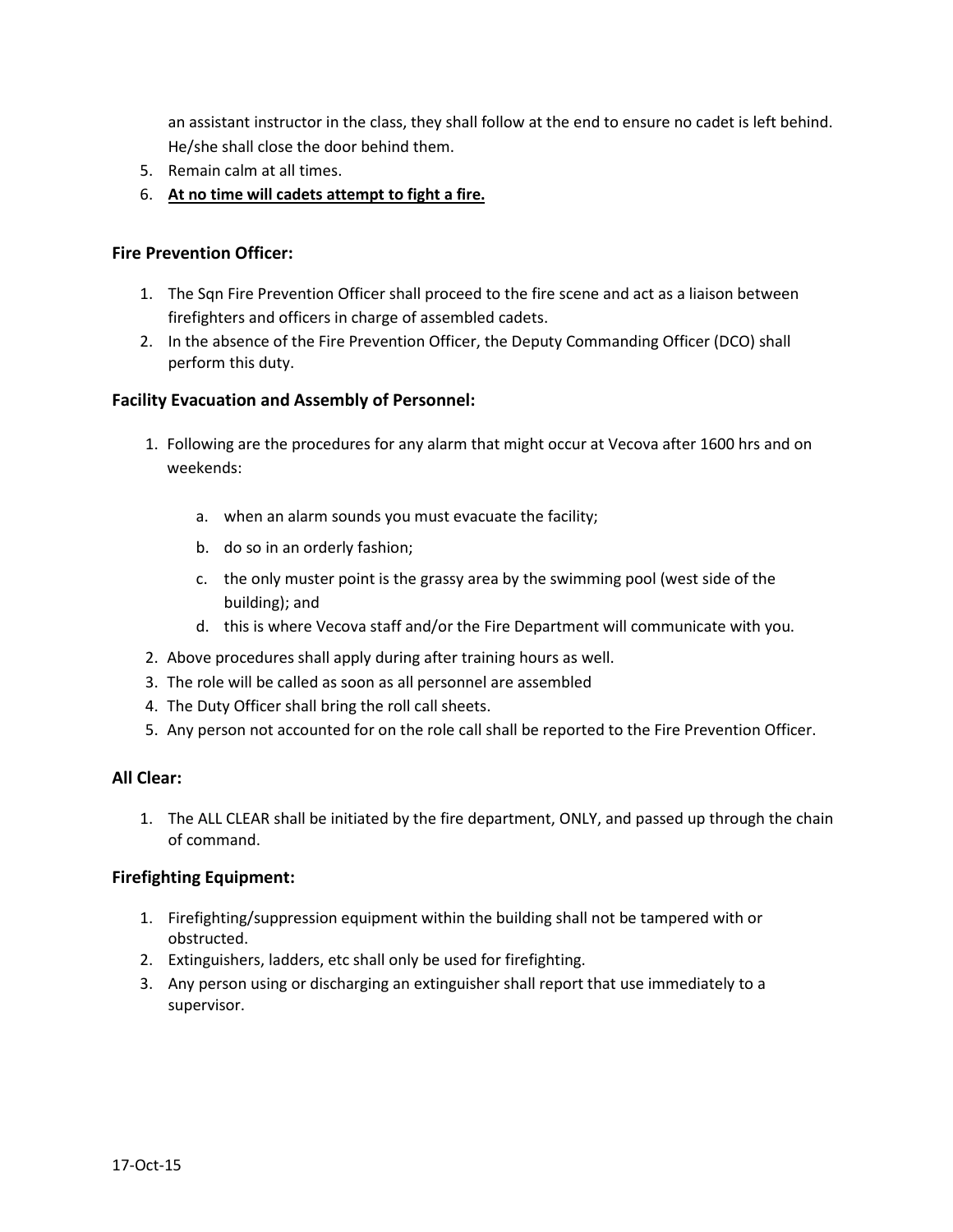an assistant instructor in the class, they shall follow at the end to ensure no cadet is left behind. He/she shall close the door behind them.

- 5. Remain calm at all times.
- 6. **At no time will cadets attempt to fight a fire.**

## **Fire Prevention Officer:**

- 1. The Sqn Fire Prevention Officer shall proceed to the fire scene and act as a liaison between firefighters and officers in charge of assembled cadets.
- 2. In the absence of the Fire Prevention Officer, the Deputy Commanding Officer (DCO) shall perform this duty.

## **Facility Evacuation and Assembly of Personnel:**

- 1. Following are the procedures for any alarm that might occur at Vecova after 1600 hrs and on weekends:
	- a. when an alarm sounds you must evacuate the facility;
	- b. do so in an orderly fashion;
	- c. the only muster point is the grassy area by the swimming pool (west side of the building); and
	- d. this is where Vecova staff and/or the Fire Department will communicate with you.
- 2. Above procedures shall apply during after training hours as well.
- 3. The role will be called as soon as all personnel are assembled
- 4. The Duty Officer shall bring the roll call sheets.
- 5. Any person not accounted for on the role call shall be reported to the Fire Prevention Officer.

## **All Clear:**

1. The ALL CLEAR shall be initiated by the fire department, ONLY, and passed up through the chain of command.

## **Firefighting Equipment:**

- 1. Firefighting/suppression equipment within the building shall not be tampered with or obstructed.
- 2. Extinguishers, ladders, etc shall only be used for firefighting.
- 3. Any person using or discharging an extinguisher shall report that use immediately to a supervisor.